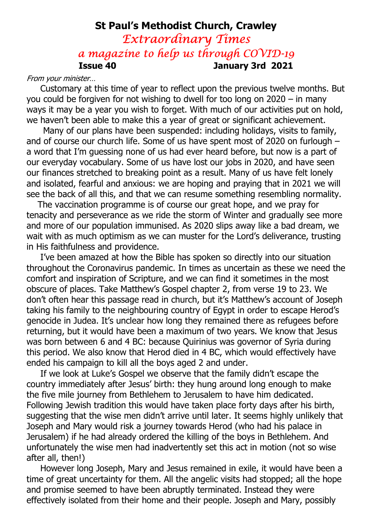## St Paul's Methodist Church, Crawley Extraordinary Times a magazine to help us through COVID-19 Issue 40 January 3rd 2021

#### From your minister…

 Customary at this time of year to reflect upon the previous twelve months. But you could be forgiven for not wishing to dwell for too long on 2020 – in many ways it may be a year you wish to forget. With much of our activities put on hold, we haven't been able to make this a year of great or significant achievement.

 Many of our plans have been suspended: including holidays, visits to family, and of course our church life. Some of us have spent most of 2020 on furlough – a word that I'm guessing none of us had ever heard before, but now is a part of our everyday vocabulary. Some of us have lost our jobs in 2020, and have seen our finances stretched to breaking point as a result. Many of us have felt lonely and isolated, fearful and anxious: we are hoping and praying that in 2021 we will see the back of all this, and that we can resume something resembling normality.

 The vaccination programme is of course our great hope, and we pray for tenacity and perseverance as we ride the storm of Winter and gradually see more and more of our population immunised. As 2020 slips away like a bad dream, we wait with as much optimism as we can muster for the Lord's deliverance, trusting in His faithfulness and providence.

 I've been amazed at how the Bible has spoken so directly into our situation throughout the Coronavirus pandemic. In times as uncertain as these we need the comfort and inspiration of Scripture, and we can find it sometimes in the most obscure of places. Take Matthew's Gospel chapter 2, from verse 19 to 23. We don't often hear this passage read in church, but it's Matthew's account of Joseph taking his family to the neighbouring country of Egypt in order to escape Herod's genocide in Judea. It's unclear how long they remained there as refugees before returning, but it would have been a maximum of two years. We know that Jesus was born between 6 and 4 BC: because Quirinius was governor of Syria during this period. We also know that Herod died in 4 BC, which would effectively have ended his campaign to kill all the boys aged 2 and under.

 If we look at Luke's Gospel we observe that the family didn't escape the country immediately after Jesus' birth: they hung around long enough to make the five mile journey from Bethlehem to Jerusalem to have him dedicated. Following Jewish tradition this would have taken place forty days after his birth, suggesting that the wise men didn't arrive until later. It seems highly unlikely that Joseph and Mary would risk a journey towards Herod (who had his palace in Jerusalem) if he had already ordered the killing of the boys in Bethlehem. And unfortunately the wise men had inadvertently set this act in motion (not so wise after all, then!)

 However long Joseph, Mary and Jesus remained in exile, it would have been a time of great uncertainty for them. All the angelic visits had stopped; all the hope and promise seemed to have been abruptly terminated. Instead they were effectively isolated from their home and their people. Joseph and Mary, possibly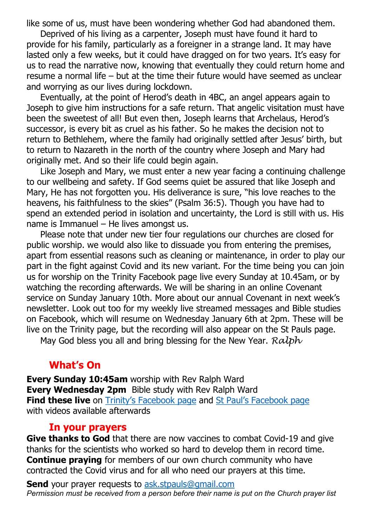like some of us, must have been wondering whether God had abandoned them.

 Deprived of his living as a carpenter, Joseph must have found it hard to provide for his family, particularly as a foreigner in a strange land. It may have lasted only a few weeks, but it could have dragged on for two years. It's easy for us to read the narrative now, knowing that eventually they could return home and resume a normal life – but at the time their future would have seemed as unclear and worrying as our lives during lockdown.

 Eventually, at the point of Herod's death in 4BC, an angel appears again to Joseph to give him instructions for a safe return. That angelic visitation must have been the sweetest of all! But even then, Joseph learns that Archelaus, Herod's successor, is every bit as cruel as his father. So he makes the decision not to return to Bethlehem, where the family had originally settled after Jesus' birth, but to return to Nazareth in the north of the country where Joseph and Mary had originally met. And so their life could begin again.

 Like Joseph and Mary, we must enter a new year facing a continuing challenge to our wellbeing and safety. If God seems quiet be assured that like Joseph and Mary, He has not forgotten you. His deliverance is sure, "his love reaches to the heavens, his faithfulness to the skies" (Psalm 36:5). Though you have had to spend an extended period in isolation and uncertainty, the Lord is still with us. His name is Immanuel – He lives amongst us.

 Please note that under new tier four regulations our churches are closed for public worship. we would also like to dissuade you from entering the premises, apart from essential reasons such as cleaning or maintenance, in order to play our part in the fight against Covid and its new variant. For the time being you can join us for worship on the Trinity Facebook page live every Sunday at 10.45am, or by watching the recording afterwards. We will be sharing in an online Covenant service on Sunday January 10th. More about our annual Covenant in next week's newsletter. Look out too for my weekly live streamed messages and Bible studies on Facebook, which will resume on Wednesday January 6th at 2pm. These will be live on the Trinity page, but the recording will also appear on the St Pauls page.

May God bless you all and bring blessing for the New Year.  $R \alpha l b h$ 

#### What's On

Every Sunday 10:45am worship with Rev Ralph Ward Every Wednesday 2pm Bible study with Rev Ralph Ward **Find these live** on Trinity's Facebook page and St Paul's Facebook page with videos available afterwards  $\ddot{\phantom{a}}$ 

#### In your prayers

Give thanks to God that there are now vaccines to combat Covid-19 and give thanks for the scientists who worked so hard to develop them in record time. **Continue praying** for members of our own church community who have contracted the Covid virus and for all who need our prayers at this time.

**Send** your prayer requests to ask.stpauls@gmail.com Permission must be received from a person before their name is put on the Church prayer list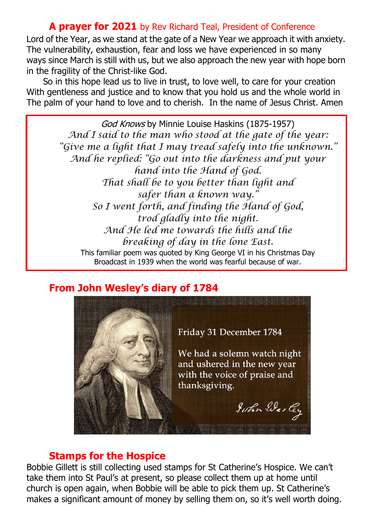#### A prayer for 2021 by Rev Richard Teal, President of Conference

Lord of the Year, as we stand at the gate of a New Year we approach it with anxiety. The vulnerability, exhaustion, fear and loss we have experienced in so many ways since March is still with us, but we also approach the new year with hope born in the fragility of the Christ-like God.

 So in this hope lead us to live in trust, to love well, to care for your creation With gentleness and justice and to know that you hold us and the whole world in The palm of your hand to love and to cherish. In the name of Jesus Christ. Amen

> God Knows by Minnie Louise Haskins (1875-1957) And I said to the man who stood at the gate of the year: "Give me a light that I may tread safely into the unknown." And he replied: "Go out into the darkness and put your hand into the Hand of God. That shall be to you better than light and safer than a known way." So I went forth, and finding the Hand of God, trod gladly into the night. And He led me towards the hills and the breaking of day in the lone East. This familiar poem was quoted by King George VI in his Christmas Day Broadcast in 1939 when the world was fearful because of war.

### From John Wesley's diary of 1784



#### Stamps for the Hospice

Bobbie Gillett is still collecting used stamps for St Catherine's Hospice. We can't take them into St Paul's at present, so please collect them up at home until church is open again, when Bobbie will be able to pick them up. St Catherine's makes a significant amount of money by selling them on, so it's well worth doing.